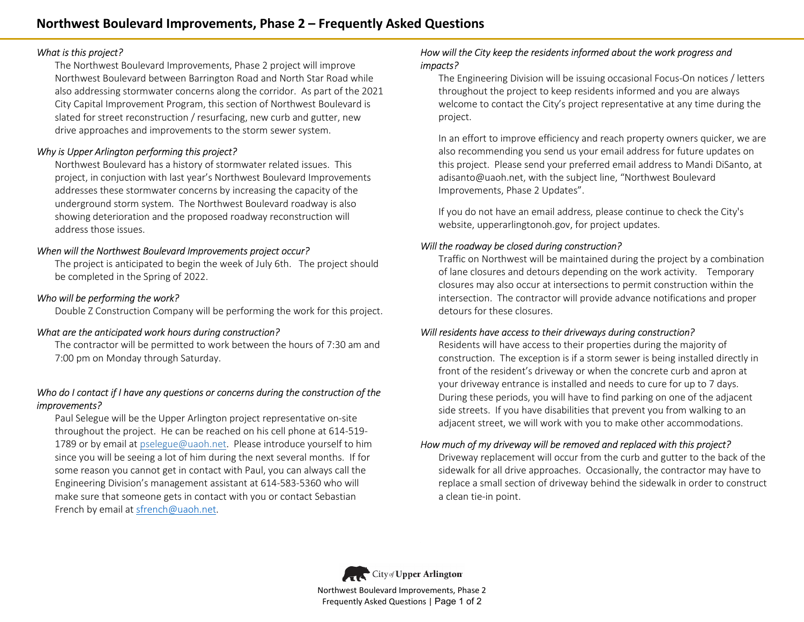### *What is this project?*

The Northwest Boulevard Improvements, Phase 2 project will improve Northwest Boulevard between Barrington Road and North Star Road while also addressing stormwater concerns along the corridor. As part of the 2021 City Capital Improvement Program, this section of Northwest Boulevard is slated for street reconstruction / resurfacing, new curb and gutter, new drive approaches and improvements to the storm sewer system.

# *Why is Upper Arlington performing this project?*

Northwest Boulevard has a history of stormwater related issues. This project, in conjuction with last year's Northwest Boulevard Improvements addresses these stormwater concerns by increasing the capacity of the underground storm system. The Northwest Boulevard roadway is also showing deterioration and the proposed roadway reconstruction will address those issues.

# *When will the Northwest Boulevard Improvements project occur?*

The project is anticipated to begin the week of July 6th. The project should be completed in the Spring of 2022.

# *Who will be performing the work?*

Double Z Construction Company will be performing the work for this project.

# *What are the anticipated work hours during construction?*

The contractor will be permitted to work between the hours of 7:30 am and 7:00 pm on Monday through Saturday.

# *Who do I contact if I have any questions or concerns during the construction of the improvements?*

Paul Selegue will be the Upper Arlington project representative on-site throughout the project. He can be reached on his cell phone at 614-519-1789 or by email at pselegue@uaoh.net. Please introduce yourself to him since you will be seeing a lot of him during the next several months. If for some reason you cannot get in contact with Paul, you can always call the Engineering Division's management assistant at 614-583-5360 who will make sure that someone gets in contact with you or contact Sebastian As the properties of the properties, these 2 project will meet the movies of the project of the project of the content of the content of the content of the content of the content of the content of the content of the conten